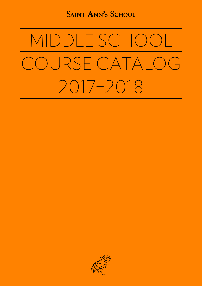**SAINT ANN'S SCHOOL** 

# MIDDLE SCHOOL COURSE CATALOG 2017–2018

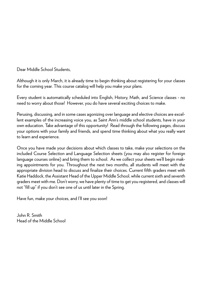Dear Middle School Students,

Although it is only March, it is already time to begin thinking about registering for your classes for the coming year. This course catalog will help you make your plans.

Every student is automatically scheduled into English, History, Math, and Science classes - no need to worry about those! However, you do have several exciting choices to make.

Perusing, discussing, and in some cases agonizing over language and elective choices are excellent examples of the increasing voice you, as Saint Ann's middle school students, have in your own education. Take advantage of this opportunity! Read through the following pages, discuss your options with your family and friends, and spend time thinking about what you really want to learn and experience.

Once you have made your decisions about which classes to take, make your selections on the included Course Selection and Language Selection sheets (you may also register for foreign language courses online) and bring them to school. As we collect your sheets we'll begin making appointments for you. Throughout the next two months, all students will meet with the appropriate division head to discuss and finalize their choices. Current fifth graders meet with Katie Haddock, the Assistant Head of the Upper Middle School, while current sixth and seventh graders meet with me. Don't worry, we have plenty of time to get you registered, and classes will not "fill up" if you don't see one of us until later in the Spring.

Have fun, make your choices, and I'll see you soon!

John R. Smith Head of the Middle School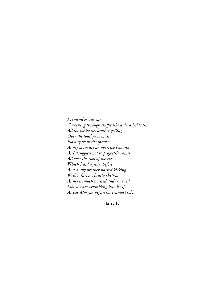*I remember our car Careening through traffic like a derailed train All the while my brother yelling Over the loud jazz music Playing from the speakers As my mom ate an overripe banana As I struggled not to projectile vomit All over the roof of the car Which I did a year before And as my brother started kicking With a furious bratty rhythm As my stomach twisted and churned Like a wave crumbling into itself As Lee Morgan began his trumpet solo.*

–Harry P.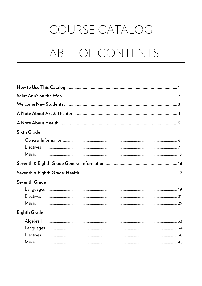## COURSE CATALOG

## TABLE OF CONTENTS

| <b>Sixth Grade</b>  |  |
|---------------------|--|
|                     |  |
|                     |  |
|                     |  |
| Seventh Grade       |  |
|                     |  |
|                     |  |
|                     |  |
| <b>Eighth Grade</b> |  |
|                     |  |
|                     |  |
|                     |  |
|                     |  |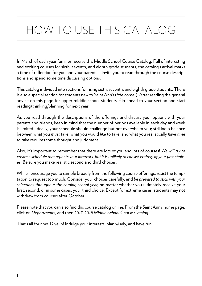## HOW TO USE THIS CATALOG

In March of each year families receive this Middle School Course Catalog. Full of interesting and exciting courses for sixth, seventh, and eighth grade students, the catalog's arrival marks a time of reflection for you and your parents. I invite you to read through the course descriptions and spend some time discussing options.

This catalog is divided into sections for rising sixth, seventh, and eighth grade students. There is also a special section for students new to Saint Ann's (Welcome!). After reading the general advice on this page for upper middle school students, flip ahead to your section and start reading/thinking/planning for next year!

As you read through the descriptions of the offerings and discuss your options with your parents and friends, keep in mind that the number of periods available in each day and week is limited. Ideally, your schedule should challenge but not overwhelm you; striking a balance between what you *must* take, what you would *like* to take, and what you realistically *have time* to take requires some thought and judgment.

Also, it's important to remember that there are lots of you and lots of courses! *We will try to create a schedule that reflects your interests, but it is unlikely to consist entirely of your first choices.* Be sure you make realistic second and third choices.

While I encourage you to sample broadly from the following course offerings, resist the temptation to request too much. Consider your choices carefully, and *be prepared to stick with your selections throughout the coming school year*, no matter whether you ultimately receive your first, second, or in some cases, your third choice. Except for extreme cases, students may not withdraw from courses after October.

Please note that you can also find this course catalog online. From the Saint Ann's home page, click on *Departments*, and then *2017–2018 Middle School Course Catalog*.

That's all for now. Dive in! Indulge your interests, plan wisely, and have fun!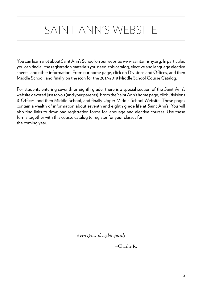## SAINT ANN'S WEBSITE

You can learn a lot about Saint Ann's School on our website: www.saintannsny.org. In particular, you can find all the registration materials you need: this catalog, elective and language elective sheets, and other information. From our home page, click on Divisions and Offices, and then Middle School, and finally on the icon for the 2017-2018 Middle School Course Catalog.

For students entering seventh or eighth grade, there is a special section of the Saint Ann's website devoted just to you (and your parents)! From the Saint Ann's home page, click Divisions & Offices, and then Middle School, and finally Upper Middle School Website. These pages contain a wealth of information about seventh and eighth grade life at Saint Ann's. You will also find links to download registration forms for language and elective courses. Use these forms together with this course catalog to register for your classes for the coming year.

*a pen spews thoughts quietly*

–Charlie R.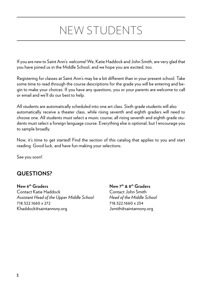## NEW STUDENTS

If you are new to Saint Ann's: welcome! We, Katie Haddock and John Smith, are very glad that you have joined us in the Middle School, and we hope you are excited, too.

Registering for classes at Saint Ann's may be a bit different than in your present school. Take some time to read through the course descriptions for the grade you will be entering and begin to make your choices. If you have any questions, you or your parents are welcome to call or email and we'll do our best to help.

All students are automatically scheduled into one art class. Sixth grade students will also automatically receive a theater class, while rising seventh and eighth graders will need to choose one. All students must select a music course; all rising seventh and eighth grade students must select a foreign language course. Everything else is optional, but I encourage you to sample broadly.

Now, it's time to get started! Find the section of this catalog that applies to you and start reading. Good luck, and have fun making your selections.

See you soon!

## **QUESTIONS?**

**New 6th Graders New 7th & 8th Graders** Contact Katie Haddock Contact John Smith *Assistant Head of the Upper Middle School Head of the Middle School* 718.522.1660 x 272 718.522.1660 x 234

Khaddock@saintannsny.org Jsmith@saintannsny.org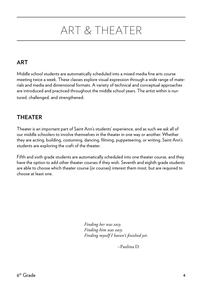## ART & THEATER

## **ART**

Middle school students are automatically scheduled into a mixed media fine arts course meeting twice a week. These classes explore visual expression through a wide range of materials and media and dimensional formats. A variety of technical and conceptual approaches are introduced and practiced throughout the middle school years. The artist within is nurtured, challenged, and strengthened.

## **THEATER**

Theater is an important part of Saint Ann's students' experience, and as such we ask all of our middle schoolers to involve themselves in the theater in one way or another. Whether they are acting, building, costuming, dancing, filming, puppeteering, or writing, Saint Ann's students are exploring the craft of the theater.

Fifth and sixth grade students are automatically scheduled into one theater course, and they have the option to add other theater courses if they wish. Seventh and eighth grade students are able to choose which theater course (or courses) interest them most, but are required to choose at least one.

> *Finding her was easy. Finding him was easy. Finding myself I haven't finished yet.*

> > –Paulina D.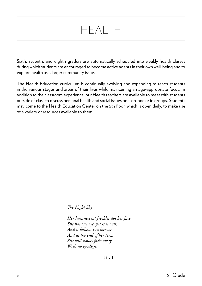## HEALTH

Sixth, seventh, and eighth graders are automatically scheduled into weekly health classes during which students are encouraged to become active agents in their own well-being and to explore health as a larger community issue.

The Health Education curriculum is continually evolving and expanding to reach students in the various stages and areas of their lives while maintaining an age-appropriate focus. In addition to the classroom experience, our Health teachers are available to meet with students outside of class to discuss personal health and social issues one-on-one or in groups. Students may come to the Health Education Center on the 5th floor, which is open daily, to make use of a variety of resources available to them.

## *The Night Sky*

 *Her luminescent freckles dot her face She has one eye, yet it is vast, And it follows you forever. And at the end of her term, She will slowly fade away With no goodbye.*

–Lily L.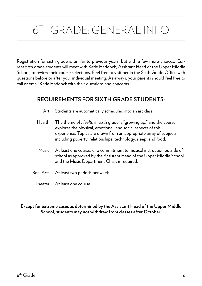## 6TH GRADE: GENERAL INFO

Registration for sixth grade is similar to previous years, but with a few more choices. Current fifth grade students will meet with Katie Haddock, Assistant Head of the Upper Middle School, to review their course selections. Feel free to visit her in the Sixth Grade Office with questions before or after your individual meeting. As always, your parents should feel free to call or email Katie Haddock with their questions and concerns.

## **REQUIREMENTS FOR SIXTH GRADE STUDENTS:**

- Art: Students are automatically scheduled into an art class.
- Health: The theme of *Health* in sixth grade is "growing up," and the course explores the physical, emotional, and social aspects of this experience. Topics are drawn from an appropriate array of subjects, including puberty, relationships, technology, sleep, and food.
- Music: At least one course, or a commitment to musical instruction outside of school as approved by the Assistant Head of the Upper Middle School and the Music Department Chair, is required.
- Rec. Arts: At least two periods per week.
	- Theater: At least one course.

#### **Except for extreme cases as determined by the Assistant Head of the Upper Middle School, students may not withdraw from classes after October.**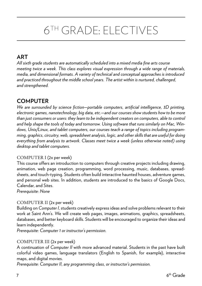## 6TH GRADE: ELECTIVES

## **ART**

*All sixth grade students are automatically scheduled into a mixed media fine arts course meeting twice a week. This class explores visual expression through a wide range of materials, media, and dimensional formats. A variety of technical and conceptual approaches is introduced and practiced throughout the middle school years. The artist within is nurtured, challenged, and strengthened.*

## **COMPUTER**

*We are surrounded by science fiction—portable computers, artificial intelligence, 3D printing, electronic games, nanotechnology, big data, etc.—and our courses show students how to be more than just consumers or users: they learn to be independent creators on computers, able to control and help shape the tools of today and tomorrow. Using software that runs similarly on Mac, Windows, Unix/Linux, and tablet computers, our courses teach a range of topics including programming, graphics, circuitry, web, spreadsheet analysis, logic, and other skills that are useful for doing everything from analysis to artwork. Classes meet twice a week (unless otherwise noted) using desktop and tablet computers.* 

## COMPUTER I (2x per week)

This course offers an introduction to computers through creative projects including drawing, animation, web page creation, programming, word processing, music, databases, spreadsheets, and touch-typing. Students often build interactive haunted houses, adventure games, and personal web sites. In addition, students are introduced to the basics of Google Docs, Calendar, and Sites.

*Prerequisite: None*

## COMPUTER II (2x per week)

Building on *Computer I*, students creatively express ideas and solve problems relevant to their work at Saint Ann's. We will create web pages, images, animations, graphics, spreadsheets, databases, and better keyboard skills. Students will be encouraged to organize their ideas and learn independently.

*Prerequisite: Computer 1 or instructor's permission.*

## COMPUTER III (2x per week)

A continuation of *Computer II* with more advanced material. Students in the past have built colorful video games, language translators (English to Spanish, for example), interactive maps, and digital movies.

*Prerequisite: Computer II, any programming class, or instructor's permission.*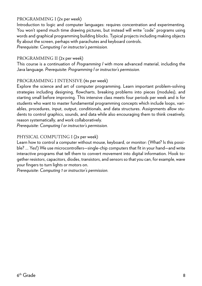## PROGRAMMING I (2x per week)

Introduction to logic and computer languages: requires concentration and experimenting. You won't spend much time drawing pictures, but instead will write "code" programs using words and graphical programming building blocks. Typical projects including making objects fly about the screen, perhaps with parachutes and keyboard controls.

*Prerequisite: Computing I or instructor's permission.*

## PROGRAMMING II (2x per week)

This course is a continuation of *Programming I* with more advanced material, including the Java language. *Prerequisite: Programming I or instructor's permission.*

## PROGRAMMING I INTENSIVE (4x per week)

Explore the science and art of computer programming. Learn important problem-solving strategies including designing, flowcharts, breaking problems into pieces (modules), and starting small before improving. This intensive class meets four periods per week and is for students who want to master fundamental programming concepts which include loops, variables, procedures, input, output, conditionals, and data structures. Assignments allow students to control graphics, sounds, and data while also encouraging them to think creatively, reason systematically, and work collaboratively.

*Prerequisite: Computing I or instructor's permission.*

## PHYSICAL COMPUTING I (2x per week)

Learn how to control a computer without mouse, keyboard, or monitor: (What? Is this possible? … Yes!) We use microcontrollers—single-chip computers that fit in your hand—and write interactive programs that tell them to convert movement into digital information. Hook together resistors, capacitors, diodes, transistors, and sensors so that you can, for example, wave your fingers to turn lights or motors on.

*Prerequisite: Computing 1 or instructor's permission.*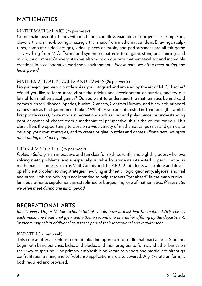## **MATHEMATICS**

## MATHEMATICAL ART (2x per week)

Come make beautiful things with math! See countless examples of gorgeous art, simple art, clever art, and mind-blowing amazing art, all made from mathematical ideas. Drawings, sculptures, computer-aided designs, video, pieces of music, and performances are all fair game —everything from M.C. Escher and symmetric patterns to origami, string art, dancing, and much, much more! At every step we also work on our own mathematical art and incredible creations in a collaborative workshop environment. *Please note: we often meet during one lunch period.*

## MATHEMATICAL PUZZLES AND GAMES (2x per week)

Do you enjoy geometric puzzles? Are you intrigued and amused by the art of M. C. Escher? Would you like to learn more about the origins and development of puzzles, and try out lots of fun mathematical games? Do you want to understand the mathematics behind card games such as Cribbage, Spades, Euchre, Canasta, Contract Rummy, and Blackjack, or board games such as Backgammon or Blokus? Whether you are interested in Tangrams (the world's first puzzle craze), more modern recreations such as Hex and polyominos, or understanding popular games of chance from a mathematical perspective, this is the course for you. This class offers the opportunity to work on a wide variety of mathematical puzzles and games, to develop your own strategies, and to create original puzzles and games. *Please note: we often meet during one lunch period.*

## PROBLEM SOLVING (2x per week)

*Problem Solving* is an interactive and fun class for sixth, seventh, and eighth graders who love solving math problems, and is especially suitable for students interested in participating in mathematical contests such as MathCounts and the AMC 8. Students will explore and develop efficient problem solving strategies involving arithmetic, logic, geometry, algebra, and trial and error. Problem Solving is not intended to help students "get ahead" in the math curriculum, but rather to supplement an established or burgeoning love of mathematics. *Please note: we often meet during one lunch period.*

## **RECREATIONAL ARTS**

*Ideally every Upper Middle School student should have at least two Recreational Arts classes*  each week: one traditional gym, and either a second one or another offering by the department. *Students may select additional courses as part of their recreational arts requirement.* 

## KARATE I (1x per week)

This course offers a serious, non-intimidating approach to traditional martial arts. Students begin with basic punches, kicks, and blocks, and then progress to forms and other basics on their way to sparring. The primary emphasis is on karate as a sport and martial art, although confrontation training and self-defense applications are also covered. A *gi* (karate uniform) is both required and provided.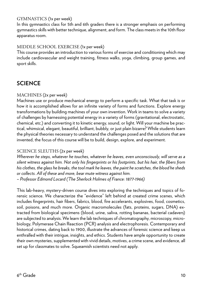## GYMNASTICS (1x per week)

In this gymnastics class for 5th and 6th graders there is a stronger emphasis on performing gymnastics skills with better technique, alignment, and form. The class meets in the 10th floor apparatus room.

## MIDDLE SCHOOL EXERCISE (1x per week)

This course provides an introduction to various forms of exercise and conditioning which may include cardiovascular and weight training, fitness walks, yoga, climbing, group games, and sport skills.

## **SCIENCE**

## MACHINES (2x per week)

Machines use or produce mechanical energy to perform a specific task. What that task is or how it is accomplished allows for an infinite variety of forms and functions. Explore energy transformations by building machines of your own invention. Work in teams to solve a variety of challenges by harnessing potential energy in a variety of forms (gravitational, electrostatic, chemical, etc.) and converting it to kinetic energy, sound, or light. Will your machine be practical, whimsical, elegant, beautiful, brilliant, bubbly, or just plain bizarre? While students learn the physical theories necessary to understand the challenges posed and the solutions that are invented, the focus of this course will be to build, design, explore, and experiment.

## SCIENCE SLEUTHS (2x per week)

*Wherever he steps, whatever he touches, whatever he leaves, even unconsciously, will serve as a silent witness against him. Not only his fingerprints or his footprints, but his hair, the fibers from his clothes, the glass he breaks, the tool mark he leaves, the paint he scratches, the blood he sheds or collects. All of these and more, bear mute witness against him. – Professor Edmond Locard (The Sherlock Holmes of France: 1877-1966)*

This lab-heavy, mystery-driven course dives into exploring the techniques and topics of forensic science. We characterize the "evidence" left behind at created crime scenes, which includes fingerprints, hair fibers, fabrics, blood, fire accelerants, explosives, food, cosmetics, soil, poisons, and much more. Organic macromolecules (fats, proteins, sugars, DNA) extracted from biological specimens (blood, urine, saliva, rotting bananas, bacterial cadavers) are subjected to analysis. We learn the lab techniques of chromatography, microscopy, microbiology, Polymerase Chain Reaction (PCR) analysis and electrophoresis. Contemporary and historical crimes, dating back to 1900, illustrate the advances of forensic science and keep us enthralled with their intrigue, insights, and ethics. Students have ample opportunity to create their own mysteries, supplemented with vivid details, motives, a crime scene, and evidence, all set up for classmates to solve. Squeamish scientists need not apply.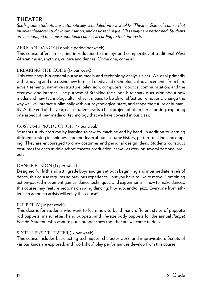## **THEATER**

*Sixth grade students are automatically scheduled into a weekly "Theater Games" course that involves character study, improvisation, and basic technique. Class plays are performed. Students are encouraged to choose additional courses according to their interests.*

## AFRICAN DANCE (1 double period per week)

This course offers an exciting introduction to the joys and complexities of traditional West African music, rhythms, culture and dances. Come one, come all!

## BREAKING THE CODE (1x per week)

This workshop is a general purpose media and technology analysis class. We deal primarily with studying and discussing new forms of media and technological advancements from film, advertisements, narrative structure, television, computers, robotics, communication, and the ever-evolving internet. The purpose of Breaking the Code is to spark discussion about how media and new technology alter what it means to be alive, affect our emotions, change the way we live, interact subliminally with our psychological state, and shape the future of humanity. At the end of the year, each student crafts a final project of his or her choosing, exploring one aspect of new media or technology that we have covered in our class.

## COSTUME PRODUCTION (1x per week)

Students study costume by learning to sew by machine and by hand. In addition to learning different sewing techniques, students learn about costume history, pattern-making, and draping. They are encouraged to draw costumes and personal design ideas. Students construct costumes for each middle school theater production, as well as work on several personal projects.

## DANCE FUSION (1x per week)

Designed for fifth and sixth grade boys and girls at both beginning and intermediate levels of dance, this course requires no previous experience - but you have to like to move! Combining action-packed movement games, dance techniques, and experiments in how to make dances, this course may feature sections on swing dancing, hip-hop, and/or jazz. Everyone from athletes to actors to artists will enjoy this course!

## PUPPETRY (1x per week)

This class is for students who want to learn how to build many different styles of puppets: rod puppets, marionettes, hand puppets, and life-size body puppets for the annual *Puppet Parade*. Students who want to put a puppet show together are welcome to do so.

## SIXTH SENSE THEATER (1x per week)

This course includes basic acting techniques, character work, and improvisation. Scripts of various kinds are explored, and "workshop" play performances develop from this course.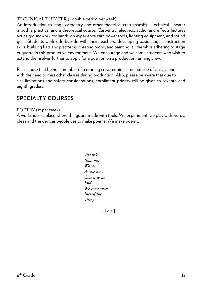## TECHNICAL THEATER (1 double period per week)

An introduction to stage carpentry and other theatrical craftsmanship, Technical Theater is both a practical and a theoretical course. Carpentry, electrics, audio, and effects lectures act as groundwork for hands-on experience with power tools, lighting equipment, and sound gear. Students work side-by-side with their teachers, developing basic stage construction skills, building flats and platforms, creating props, and painting, all the while adhering to stage etiquette in this productive environment. We encourage and welcome students who wish to extend themselves further to apply for a position on a production running crew.

Please note that being a member of a running crew requires time outside of class, along with the need to miss other classes during production. Also, please be aware that due to size limitations and safety considerations, enrollment priority will be given to seventh and eighth graders.

## **SPECIALTY COURSES**

#### POETRY (1x per week)

A workshop—a place where things are made with tools. We experiment; we play with words, ideas and the devices people use to make poems. We make poems.

> *The ink Blots out Words. As the past, Comes to an End, We remember Incredible Things*

> > *–* Lola J.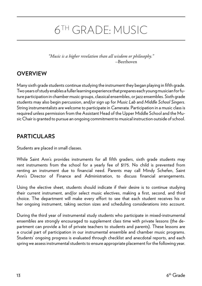## 6TH GRADE: MUSIC

*"Music is a higher revelation than all wisdom or philosophy." –*Beethoven

## **OVERVIEW**

Many sixth grade students continue studying the instrument they began playing in fifth grade. Two years of study enables a fuller learning experience that prepares each young musician for future participation in chamber music groups, classical ensembles, or jazz ensembles. Sixth grade students may also begin percussion, and/or sign up for *Music Lab* and *Middle School Singers*. String instrumentalists are welcome to participate in *Camerata*. Participation in a music class is required unless permission from the Assistant Head of the Upper Middle School and the Music Chair is granted to pursue an ongoing commitment to musical instruction outside of school.

## **PARTICULARS**

Students are placed in small classes.

While Saint Ann's provides instruments for all fifth graders, sixth grade students may rent instruments from the school for a yearly fee of \$175. No child is prevented from renting an instrument due to financial need. Parents may call Mindy Schefen, Saint Ann's Director of Finance and Administration, to discuss financial arrangements.

Using the elective sheet, students should indicate if their desire is to continue studying their current instrument, and/or select music electives, making a first, second, and third choice. The department will make every effort to see that each student receives his or her ongoing instrument, taking section sizes and scheduling considerations into account.

During the third year of instrumental study students who participate in mixed-instrumental ensembles are strongly encouraged to supplement class time with private lessons (the department can provide a list of private teachers to students and parents). These lessons are a crucial part of participation in our instrumental ensemble and chamber music programs. Students' ongoing progress is evaluated through checklist and anecdotal reports, and each spring we assess instrumental students to ensure appropriate placement for the following year.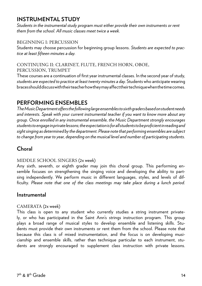## **INSTRUMENTAL STUDY**

*Students in the instrumental study program must either provide their own instruments or rent them from the school. All music classes meet twice a week.*

## BEGINNING I: PERCUSSION

Students may choose percussion for beginning group lessons. *Students are expected to practice at least fifteen minutes a day.*

## CONTINUING II: CLARINET, FLUTE, FRENCH HORN, OBOE, PERCUSSION, TRUMPET

These courses are a continuation of first year instrumental classes. In the second year of study, *students are expected to practice at least twenty minutes a day*. Students who anticipate wearing braces should discuss with their teacher how they may affect their technique when the time comes.

## **PERFORMING ENSEMBLES**

*The Music Department offers the following large ensembles to sixth graders based on student needs and interests. Speak with your current instrumental teacher if you want to know more about any group. Once enrolled in any instrumental ensemble, the Music Department strongly encourages students to engage in private lessons; the expectation is for all students to be proficient in reading and sight singing as determined by the department. Please note that performing ensembles are subject to change from year to year, depending on the musical level and number of participating students.*

## **Choral**

## MIDDLE SCHOOL SINGERS (2x week)

Any sixth, seventh, or eighth grader may join this choral group. This performing ensemble focuses on strengthening the singing voice and developing the ability to partsing independently. We perform music in different languages, styles, and levels of difficulty. *Please note that one of the class meetings may take place during a lunch period.*

## **Instrumental**

## CAMERATA (2x week)

This class is open to any student who currently studies a string instrument privately, or who has participated in the Saint Ann's strings instruction program. This group plays a broad range of musical styles to develop ensemble and listening skills. Students must provide their own instruments or rent them from the school. Please note that because this class is of mixed instrumentation, and the focus is on developing musicianship and ensemble skills, rather than technique particular to each instrument, students are strongly encouraged to supplement class instruction with private lessons.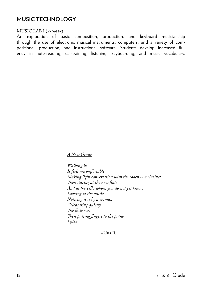## **MUSIC TECHNOLOGY**

#### MUSIC LAB I (2x week)

An exploration of basic composition, production, and keyboard musicianship through the use of electronic musical instruments, computers, and a variety of compositional, production, and instructional software. Students develop increased fluency in note-reading, ear-training, listening, keyboarding, and music vocabulary.

#### *A New Group*

 *Walking in It feels uncomfortable Making light conversation with the coach -- a clarinet Then staring at the new flute And at the cello whom you do not yet know. Looking at the music Noticing it is by a woman Celebrating quietly. The flute cues Then putting fingers to the piano I play.* 

–Una R.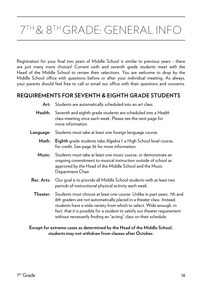## 7TH & 8TH GRADE: GENERAL INFO

Registration for your final two years of Middle School is similar to previous years - there are just many more choices! Current sixth and seventh grade students meet with the Head of the Middle School to review their selections. You are welcome to drop by the Middle School office with questions before or after your individual meeting. As always, your parents should feel free to call or email our office with their questions and concerns.

## **REQUIREMENTS FOR SEVENTH & EIGHTH GRADE STUDENTS**

- **Art:** Students are automatically scheduled into an art class.
- **Health:** Seventh and eighth grade students are scheduled into a *Health* class meeting once each week. Please see the next page for more information.
- **Language:** Students must take at least one foreign language course.
	- **Math: Eighth** grade students take *Algebra I*, a High School level course, for credit. See page 36 for more information.
	- **Music:** Students must take at least one music course, or demonstrate an ongoing commitment to musical instruction outside of school as approved by the Head of the Middle School and the Music Department Chair
- **Rec. Arts:** Our goal is to provide all Middle School students with at least two periods of instructional physical activity each week.
	- **Theater:** Students must choose at least one course. Unlike in past years, 7th and 8th graders are not automatically placed in a theater class. Instead, students have a wide variety from which to select. Wide enough, in fact, that it is possible for a student to satisfy our theater requirement without necessarily finding an "acting" class on their schedule.

#### **Except for extreme cases as determined by the Head of the Middle School, students may not withdraw from classes after October.**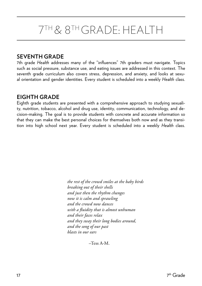## 7TH & 8TH GRADE: HEALTH

## **SEVENTH GRADE**

7th grade *Health* addresses many of the "influences" 7th graders must navigate. Topics such as social pressure, substance use, and eating issues are addressed in this context. The seventh grade curriculum also covers stress, depression, and anxiety, and looks at sexual orientation and gender identities. Every student is scheduled into a weekly *Health* class.

## **EIGHTH GRADE**

Eighth grade students are presented with a comprehensive approach to studying sexuality, nutrition, tobacco, alcohol and drug use, identity, communication, technology, and decision-making. The goal is to provide students with concrete and accurate information so that they can make the best personal choices for themselves both now and as they transition into high school next year. Every student is scheduled into a weekly *Health* class.

> *the rest of the crowd smiles at the baby birds breaking out of their shells and just then the rhythm changes now it is calm and sprawling and the crowd now dances with a fluidity that is almost unhuman and their faces relax and they sway their long bodies around, and the song of our past blasts in our ears*

> > –Tess A-M.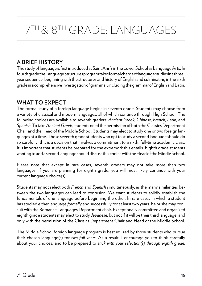## 7TH & 8TH GRADE: LANGUAGES

## **A BRIEF HISTORY**

The study of language is first introduced at Saint Ann's in the Lower School as Language Arts. In fourth grade the Language Structures program takes formal charge of language studies in a threeyear sequence, beginning with the structures and history of English and culminating in the sixth grade in a comprehensive investigation of grammar, including the grammar of English and Latin.

## **WHAT TO EXPECT**

The formal study of a foreign language begins in seventh grade. Students may choose from a variety of classical and modern languages, all of which continue through High School. The following choices are available to seventh graders: *Ancient Greek, Chinese, French, Latin,* and *Spanish*. To take *Ancient Greek*, students need the permission of both the Classics Department Chair and the Head of the Middle School. Students may elect to study one or two foreign languages at a time. Those seventh grade students who opt to study a second language should do so carefully: this is a decision that involves a commitment to a sixth, full-time academic class. It is important that students be prepared for the extra work this entails. Eighth grade students wanting to add a second language should discuss this choice with the Head of the Middle School.

Please note that except in rare cases, seventh graders may not take more than two languages. If you are planning for eighth grade, you will most likely continue with your current language choice(s).

Students may not select both *French* and *Spanish* simultaneously, as the many similarities between the two languages can lead to confusion. We want students to solidly establish the fundamentals of one language before beginning the other. In rare cases in which a student has studied either language *formally* and successfully for at least two years, he or she may consult with the Romance Languages Department chair. Exceptionally committed and organized eighth grade students may elect to study *Japanese*, but not if it will be their third language, and only with the permission of the Classics Department Chair and Head of the Middle School.

The Middle School foreign language program is best utilized by those students who pursue their chosen language(s) for *two full years*. As a result, I encourage you to think carefully about your choices, and to be prepared to *stick with your selection(s) through eighth grade*.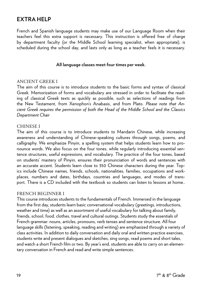## **EXTRA HELP**

French and Spanish language students may make use of our Language Room when their teachers feel this extra support is necessary. This instruction is offered free of charge by department faculty (or the Middle School learning specialist, when appropriate), is scheduled during the school day, and lasts only as long as a teacher feels it is necessary.

#### **All language classes meet four times per week.**

#### ANCIENT GREEK I

The aim of this course is to introduce students to the basic forms and syntax of classical Greek. Memorization of forms and vocabulary are stressed in order to facilitate the reading of classical Greek texts as quickly as possible, such as selections of readings from the New Testament, from Xenophon's Anabasis, and from Plato. *Please note that Ancient Greek requires the permission of both the Head of the Middle School and the Classics Department Chair*

#### CHINESE I

The aim of this course is to introduce students to Mandarin Chinese, while increasing awareness and understanding of Chinese-speaking cultures through songs, poems, and calligraphy. We emphasize Pinyin, a spelling system that helps students learn how to pronounce words. We also focus on the four tones, while regularly introducing essential sentence structures, useful expressions, and vocabulary. The practice of the four tones, based on students' mastery of Pinyin, ensures their pronunciation of words and sentences with an accurate accent. Students learn close to 350 Chinese characters during the year. Topics include Chinese names, friends, schools, nationalities, families, occupations and workplaces, numbers and dates, birthdays, countries and languages, and modes of transport. There is a CD included with the textbook so students can listen to lessons at home..

#### FRENCH BEGINNER I

This course introduces students to the fundamentals of French. Immersed in the language from the first day, students learn basic conversational vocabulary (greetings, introductions, weather and time) as well as an assortment of useful vocabulary for talking about family, friends, school, food, clothes, travel and cultural outings. Students study the essentials of French grammar: nouns, articles, pronouns, verb tenses and sentence structure. All four language skills (listening, speaking, reading and writing) are emphasized through a variety of class activities. In addition to daily conversation and daily oral and written practice exercises, students write and present dialogues and sketches, sing songs, read poems and short tales, and watch a short French film or two. By year's end, students are able to carry on an elementary conversation in French and read and write simple sentences.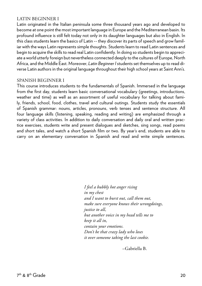## LATIN BEGINNER I

Latin originated in the Italian peninsula some three thousand years ago and developed to become at one point the most important language in Europe and the Mediterranean basin. Its profound influence is still felt today not only in its daughter languages but also in English. In this class students learn the basics of Latin -- they discover its parts of speech and grow familiar with the ways Latin represents simple thoughts. Students learn to read Latin sentences and begin to acquire the skills to read real Latin confidently. In doing so students begin to appreciate a world utterly foreign but nevertheless connected deeply to the cultures of Europe, North Africa, and the Middle East. Moreover, *Latin Beginner I* students set themselves up to read diverse Latin authors in the original language throughout their high school years at Saint Ann's.

#### SPANISH BEGINNER I

This course introduces students to the fundamentals of Spanish. Immersed in the language from the first day, students learn basic conversational vocabulary (greetings, introductions, weather and time) as well as an assortment of useful vocabulary for talking about family, friends, school, food, clothes, travel and cultural outings. Students study the essentials of Spanish grammar: nouns, articles, pronouns, verb tenses and sentence structure. All four language skills (listening, speaking, reading and writing) are emphasized through a variety of class activities. In addition to daily conversation and daily oral and written practice exercises, students write and present dialogues and sketches, sing songs, read poems and short tales, and watch a short Spanish film or two. By year's end, students are able to carry on an elementary conversation in Spanish and read and write simple sentences.

> *I feel a bubbly hot anger rising in my chest and I want to burst out, call them out, make sure everyone knows their wrongdoings, justice to all, but another voice in my head tells me to keep it all in, contain your emotions. Don't be that crazy lady who loses it over someone taking the last cookie.*

> > –Gabriella B.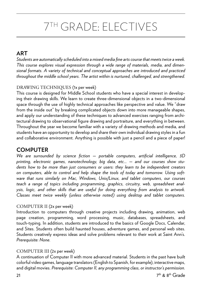## 7TH GRADE: ELECTIVES

## **ART**

*Students are automatically scheduled into a mixed media fine arts course that meets twice a week. This course explores visual expression through a wide range of materials, media, and dimensional formats. A variety of technical and conceptual approaches are introduced and practiced throughout the middle school years. The artist within is nurtured, challenged, and strengthened.*

## DRAWING TECHNIQUES (1x per week)

This course is designed for Middle School students who have a special interest in developing their drawing skills. We learn to create three-dimensional objects in a two-dimensional space through the use of highly technical approaches like perspective and value. We "draw from the inside out" by breaking complicated objects down into more manageable shapes, and apply our understanding of these techniques to advanced exercises ranging from architectural drawing to observational figure drawing and portraiture, and everything in between. Throughout the year we become familiar with a variety of drawing methods and media, and students have an opportunity to develop and share their own individual drawing styles in a fun and collaborative environment. Anything is possible with just a pencil and a piece of paper!

## **COMPUTER**

*We are surrounded by science fiction — portable computers, artificial intelligence, 3D printing, electronic games, nanotechnology, big data, etc... — and our courses show students how to be more than just consumers or users: they learn to be independent creators on computers, able to control and help shape the tools of today and tomorrow. Using software that runs similarly on Mac, Windows, Unix/Linux, and tablet computers, our courses teach a range of topics including programming, graphics, circuitry, web, spreadsheet analysis, logic, and other skills that are useful for doing everything from analysis to artwork. Classes meet twice weekly (unless otherwise noted) using desktop and tablet computers.*

## COMPUTER II (2x per week)

Introduction to computers through creative projects including drawing, animation, web page creation, programming, word processing, music, databases, spreadsheets, and touch-typing. In addition, students are introduced to the basics of Google Docs, Calendar, and Sites. Students often build haunted houses, adventure games, and personal web sites. Students creatively express ideas and solve problems relevant to their work at Saint Ann's. *Prerequisite: None.*

## COMPUTER III (2x per week)

A continuation of Computer II with more advanced material. Students in the past have built colorful video games, language translators (English to Spanish, for example), interactive maps, and digital movies. *Prerequisite: Computer II, any programming class, or instructor's permission.*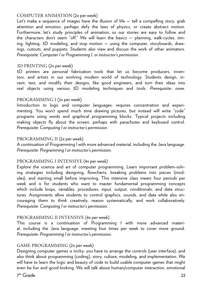#### COMPUTER ANIMATION (2x per week)

Let's make a sequence of images have the illusion of life — tell a compelling story, grab attention and emotion, perhaps defy the laws of physics, or create abstract motion. Furthermore, let's study principles of animation, so our stories are easy to follow and the characters don't seem "off." We will learn the basics — planning, walk-cycles, timing, lighting, 3D modeling, and stop motion — using the computer, storyboards, drawings, cutouts, and puppets. Students also view and discuss the work of other animators. *Prerequisite: Computer I or Programming I, or instructor's permission.*

#### 3D PRINTING (2x per week)

3D printers are personal fabrication tools that let us become producers, inventors, and artists in our evolving modern world of technology. Students design, invent, test, and modify their designs, like good engineers, and turn their ideas into real objects using various 3D modeling techniques and tools. *Prerequisite: none.*

## PROGRAMMING I (2x per week)

Introduction to logic and computer languages: requires concentration and experimenting. You won't spend much time drawing pictures, but instead will write "code" programs using words and graphical programming blocks. Typical projects including making objects fly about the screen, perhaps with parachutes and keyboard control. *Prerequisite: Computing I or instructor's permission.*

## PROGRAMMING II (2x per week)

A continuation of Programming I with more advanced material, including the Java language. *Prerequisite: Programming I or instructor's permission.*

## PROGRAMMING I INTENSIVE (4x per week)

Explore the science and art of computer programming. Learn important problem-solving strategies including designing, flowcharts, breaking problems into pieces (modules), and starting small before improving. This intensive class meets four periods per week and is for students who want to master fundamental programming concepts which include loops, variables, procedures, input, output, conditionals, and data structures. Assignments allow students to control graphics, sounds, and data while also encouraging them to think creatively, reason systematically, and work collaboratively. *Prerequisite: Computing I or instructor's permission.*

## PROGRAMMING II INTENSIVE (4x per week)

This course is a continuation of Programming I with more advanced material, including the Java language, meeting four times per week to cover more ground. *Prerequisite: Programming I or instructor's permission.*

## GAME PROGRAMMING (2x per week)

Designing computer games is tricky: you have to arrange the controls (user interface), and also think about programming (coding), story, culture, modeling, and implementation. We will have to learn the logic and beauty of code to build usable computer games that might even be fun and good-looking. We will talk about human/computer interaction, emotional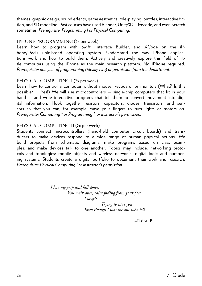themes, graphic design, sound effects, game aesthetics, role-playing, puzzles, interactive fiction, and 3D modeling. Past courses have used Blender, Unity3D, Livecode, and even Scratch sometimes. *Prerequisite: Programming I or Physical Computing.*

## IPHONE PROGRAMMING (2x per week)

Learn how to program with Swift, Interface Builder, and XCode on the iPhone/iPad's unix-based operating system. Understand the way iPhone applications work and how to build them. Actively and creatively explore this field of little computers using the iPhone as the main research platform. **No iPhone required.**  *Prerequisite: one year of programming (ideally two) or permission from the department.*

## PHYSICAL COMPUTING I (2x per week)

Learn how to control a computer without mouse, keyboard, or monitor: (What? Is this possible? … Yes!) We will use microcontrollers — single-chip computers that fit in your hand — and write interactive programs that tell them to convert movement into digital information. Hook together resistors, capacitors, diodes, transistors, and sensors so that you can, for example, wave your fingers to turn lights or motors on. *Prerequisite: Computing 1 or Programming I, or instructor's permission.*

## PHYSICAL COMPUTING II (2x per week)

Students connect microcontrollers (hand-held computer circuit boards) and transducers to make devices respond to a wide range of human physical actions. We build projects from schematic diagrams, make programs based on class examples, and make devices talk to one another. Topics may include: networking protocols and topologies; mobile objects and wireless networks; digital logic and numbering systems. Students create a digital portfolio to document their work and research. *Prerequisite: Physical Computing I or instructor's permission.*

> *I lose my grip and fall down You walk over, calm fading from your face I laugh*

 *Trying to save you Even though I was the one who fell.*

–Raimi B.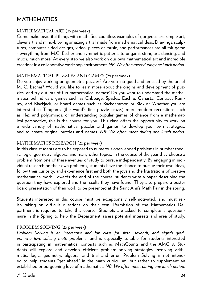## **MATHEMATICS**

#### MATHEMATICAL ART (2x per week)

Come make beautiful things with math! See countless examples of gorgeous art, simple art, clever art, and mind-blowing amazing art, all made from mathematical ideas. Drawings, sculptures, computer-aided designs, video, pieces of music, and performances are all fair game - everything from M.C. Escher and symmetric patterns to origami, string art, dancing, and much, much more! At every step we also work on our own mathematical art and incredible creations in a collaborative workshop environment. *NB: We often meet during one lunch period.*

#### MATHEMATICAL PUZZLES AND GAMES (2x per week)

Do you enjoy working on geometric puzzles? Are you intrigued and amused by the art of M. C. Escher? Would you like to learn more about the origins and development of puzzles, and try out lots of fun mathematical games? Do you want to understand the mathematics behind card games such as Cribbage, Spades, Euchre, Canasta, Contract Rummy, and Blackjack, or board games such as Backgammon or Blokus? Whether you are interested in Tangrams (the world's first puzzle craze,) more modern recreations such as Hex and polyominos, or understanding popular games of chance from a mathematical perspective, this is the course for you. This class offers the opportunity to work on a wide variety of mathematical puzzles and games, to develop your own strategies, and to create original puzzles and games. *NB: We often meet during one lunch period.*

## MATHEMATICS RESEARCH (2x per week)

In this class students are to be exposed to numerous open-ended problems in number theory, logic, geometry, algebra, and many other topics. In the course of the year they choose a problem from one of these avenues of study to pursue independently. By engaging in individual research on their own problems, students have the chance to pursue their own ideas, follow their curiosity, and experience firsthand both the joys and the frustrations of creative mathematical work. Towards the end of the course, students write a paper describing the question they have explored and the results they have found. They also prepare a poster board presentation of their work to be presented at the Saint Ann's Math Fair in the spring.

Students interested in this course must be exceptionally self-motivated, and must relish taking on difficult questions on their own. Permission of the Mathematics Department is required to take this course. Studnets are asked to complete a questionnaire in the Spring to help the Department assess potential interests and area of study.

## PROBLEM SOLVING (2x per week)

*Problem Solving is an interactive and fun class for sixth, seventh, and eighth graders who love solving math pro*blems, and is especially suitable for students interested in participating in mathematical contests such as MathCounts and the AMC 8. Students will explore and develop efficient problem solving strategies involving arithmetic, logic, geometry, algebra, and trial and error. Problem Solving is not intended to help students "get ahead" in the math curriculum, but rather to supplement an established or burgeoning love of mathematics*. NB: We often meet during one lunch period.*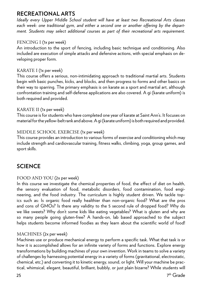## **RECREATIONAL ARTS**

*Ideally every Upper Middle School student will have at least two Recreational Arts classes each week: one traditional gym, and either a second one or another offering by the department. Students may select additional courses as part of their recreational arts requirement.* 

## FENCING I (1x per week)

An introduction to the sport of fencing, including basic technique and conditioning. Also included are execution of simple attacks and defensive actions, with special emphasis on developing proper form.

#### KARATE I (1x per week)

This course offers a serious, non-intimidating approach to traditional martial arts. Students begin with basic punches, kicks, and blocks, and then progress to forms and other basics on their way to sparring. The primary emphasis is on karate as a sport and martial art, although confrontation training and self-defense applications are also covered. A gi (karate uniform) is both required and provided.

#### KARATE II (1x per week)

This course is for students who have completed one year of karate at Saint Ann's. It focuses on material for the yellow-belt rank and above. A gi (karate uniform) is both required and provided.

## MIDDLE SCHOOL EXERCISE (1x per week)

This course provides an introduction to various forms of exercise and conditioning which may include strength and cardiovascular training, fitness walks, climbing, yoga, group games, and sport skills.

## **SCIENCE**

## FOOD AND YOU (2x per week)

In this course we investigate the chemical properties of food, the effect of diet on health, the sensory evaluation of food, metabolic disorders, food contamination, food engineering, and the food industry. The curriculum is highly student driven. We tackle topics such as: Is organic food really healthier than non-organic food? What are the pros and cons of GMOs? Is there any validity to the 5 second rule of dropped food? Why do we like sweets? Why don't some kids like eating vegetables? What is gluten and why are so many people going gluten-free? A hands-on, lab based approached to the subject helps students become informed foodies as they learn about the scientific world of food!

## MACHINES (2x per week)

Machines use or produce mechanical energy to perform a specific task. What that task is or how it is accomplished allows for an infinite variety of forms and functions. Explore energy transformations by building machines of your own invention. Work in teams to solve a variety of challenges by harnessing potential energy in a variety of forms (gravitational, electrostatic, chemical, etc.) and converting it to kinetic energy, sound, or light. Will your machine be practical, whimsical, elegant, beautiful, brilliant, bubbly, or just plain bizarre? While students will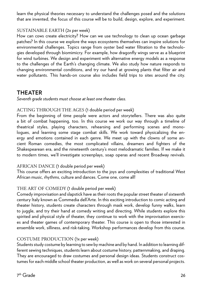learn the physical theories necessary to understand the challenges posed and the solutions that are invented, the focus of this course will be to build, design, explore, and experiment.

## SUSTAINABLE EARTH (2x per week)

How can cows create electricity? How can we use technology to clean up ocean garbage patches? In this course we explore the ways ecosystems themselves can inspire solutions for environmental challenges. Topics range from oyster bed water filtration to the technologies developed through biomimicry. For example, how dragonfly wings serve as a blueprint for wind turbines. We design and experiment with alternative energy models as a response to the challenges of the Earth's changing climate. We also study how nature responds to changing environmental conditions, and try our hand at growing plants that filter air and water pollutants. This hands-on course also includes field trips to sites around the city.

## **THEATER**

*Seventh grade students must choose at least one theater class.*

## ACTING THROUGH THE AGES (1 double period per week)

From the beginning of time people were actors and storytellers. There was also quite a bit of combat happening, too. In this course we work our way through a timeline of theatrical styles, playing characters, rehearsing and performing scenes and monologues, and learning some stage combat skills. We work toward physicalizing the energy and emotions contained in each genre. We meet up with the clowns of some ancient Roman comedies, the most complicated villains, dreamers and fighters of the Shakespearean era, and the nineteenth century's most melodramatic families. If we make it to modern times, we'll investigate screenplays, soap operas and recent Broadway revivals.

## AFRICAN DANCE (1 double period per week)

This course offers an exciting introduction to the joys and complexities of traditional West African music, rhythms, culture and dances. Come one, come all!

## THE ART OF COMEDY (1 double period per week)

Comedy improvisation and slapstick have as their roots the popular street theater of sixteenth century Italy known as Commedia dell'Arte. In this exciting introduction to comic acting and theater history, students create characters through mask work, develop funny walks, learn to juggle, and try their hand at comedy writing and directing. While students explore this spirited and physical style of theater, they continue to work with the improvisation exercises and theater games of contemporary theater. This course is open to those interested in ensemble work, silliness, and risk-taking. Workshop performances develop from this course.

## COSTUME PRODUCTION (1x per week)

Students study costume by learning to sew by machine and by hand. In addition to learning different sewing techniques, students learn about costume history, patternmaking, and draping. They are encouraged to draw costumes and personal design ideas. Students construct costumes for each middle school theater production, as well as work on several personal projects.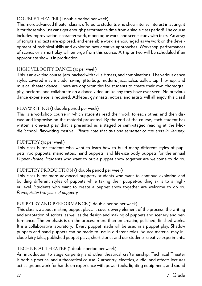## DOUBLE THEATER (1 double period per week)

This more advanced theater class is offered to students who show intense interest in acting; it is for those who just can't get enough performance time from a single class period! The course includes improvisation, character work, monologue work, and scene study with texts. An array of scripts and texts are explored, and ensemble work is encouraged as we work on the development of technical skills and exploring new creative approaches. Workshop performances of scenes or a short play will emerge from this course. A trip or two will be scheduled if an appropriate show is in production.

## HIGH VELOCITY DANCE (1x per week)

This is an exciting course, jam-packed with skills, fitness, and combinations. The various dance styles covered may include: swing, jitterbug, modern, jazz, salsa, ballet, tap, hip-hop, and musical theater dance. There are opportunities for students to create their own choreography, perform, and collaborate on a dance video unlike any they have ever seen! No previous dance experience is required. Athletes, gymnasts, actors, and artists will all enjoy this class!

## PLAYWRITING (1 double period per week)

This is a workshop course in which students read their work to each other, and then discuss and improvise on the material presented. By the end of the course, each student has written a one-act play that is presented as a staged or semi-staged reading at the Middle School Playwriting Festival. *Please note that this one semester course ends in January.*

## PUPPETRY (1x per week)

This class is for students who want to learn how to build many different styles of puppets: rod puppets, marionettes, hand puppets, and life-size body puppets for the annual *Puppet Parade*. Students who want to put a puppet show together are welcome to do so.

## PUPPETRY PRODUCTION (1 double period per week)

This class is for more advanced puppetry students who want to continue exploring and building different styles of puppets while taking their puppet-building skills to a higher level. Students who want to create a puppet show together are welcome to do so. *Prerequisite: two years of puppetry.*

## PUPPETRY AND PERFORMANCE (1 double period per week)

This class is a about making puppet plays. It covers every element of the process: the writing and adaptation of scripts, as well as the design and making of puppets and scenery and performance. The emphasis is on the process more than on creating polished, finished works. It is a collaborative laboratory. Every puppet made will be used in a puppet play. Shadow puppets and hand puppets can be made to use in different roles. Source material may include fairy tales, published puppet plays, short stories and our students' creative experiments.

## TECHNICAL THEATER (1 double period per week)

An introduction to stage carpentry and other theatrical craftsmanship, Technical Theater is both a practical and a theoretical course. Carpentry, electrics, audio, and effects lectures act as groundwork for hands-on experience with power tools, lighting equipment, and sound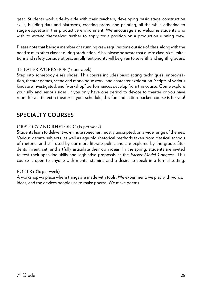gear. Students work side-by-side with their teachers, developing basic stage construction skills, building flats and platforms, creating props, and painting, all the while adhering to stage etiquette in this productive environment. We encourage and welcome students who wish to extend themselves further to apply for a position on a production running crew.

Please note that being a member of a running crew requires time outside of class, along with the need to miss other classes during production. Also, please be aware that due to class-size limitations and safety considerations, enrollment priority will be given to seventh and eighth graders.

## THEATER WORKSHOP (1x per week)

Step into somebody else's shoes. This course includes basic acting techniques, improvisation, theater games, scene and monologue work, and character exploration. Scripts of various kinds are investigated, and "workshop" performances develop from this course. Come explore your silly and serious sides. If you only have one period to devote to theater or you have room for a little extra theater in your schedule, this fun and action-packed course is for you!

## **SPECIALTY COURSES**

## ORATORY AND RHETORIC (1x per week)

Students learn to deliver two-minute speeches, mostly unscripted, on a wide range of themes. Various debate subjects, as well as age-old rhetorical methods taken from classical schools of rhetoric, and still used by our more literate politicians, are explored by the group. Students invent, set, and artfully articulate their own ideas. In the spring, students are invited to test their speaking skills and legislative proposals at the *Packer Model Congress.* This course is open to anyone with mental stamina and a desire to speak in a formal setting.

#### POETRY (1x per week)

A workshop—a place where things are made with tools. We experiment; we play with words, ideas, and the devices people use to make poems. We make poems.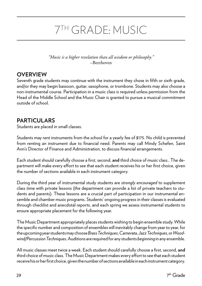## 7TH GRADE: MUSIC

*"Music is a higher revelation than all wisdom or philosophy."*  –Beethoven

## **OVERVIEW**

Seventh grade students may continue with the instrument they chose in fifth or sixth grade, and/or they may begin bassoon, guitar, saxophone, or trombone. Students may also choose a non-instrumental course. Participation in a music class is required unless permission from the Head of the Middle School and the Music Chair is granted to pursue a musical commitment outside of school.

## **PARTICULARS**

Students are placed in small classes.

Students may rent instruments from the school for a yearly fee of \$175. No child is prevented from renting an instrument due to financial need. Parents may call Mindy Schefen, Saint Ann's Director of Finance and Administration, to discuss financial arrangements.

Each student should carefully choose a first, second, **and** third choice of music class.. The department will make every effort to see that each student receives his or her first choice, given the number of sections available in each instrument category.

During the third year of instrumental study students are *strongly encouraged* to supplement class time with private lessons (the department can provide a list of private teachers to students and parents). These lessons are a crucial part of participation in our instrumental ensemble and chamber music programs. Students' ongoing progress in their classes is evaluated through checklist and anecdotal reports, and each spring we assess instrumental students to ensure appropriate placement for the following year.

The Music Department appropriately places students wishing to begin ensemble study. While the specific number and composition of ensembles will inevitably change from year to year, for the upcoming year students may choose *Brass Techniques, Camerata, Jazz Techniques*, or *Woodwind/Percussion Techniques*. Auditions are required for any students *beginning* in any ensemble.

All music classes meet twice a week. Each student should carefully choose a first, second, **and**  third choice of music class. The Music Department makes every effort to see that each student receive his or her first choice, given the number of sections available in each instrument category.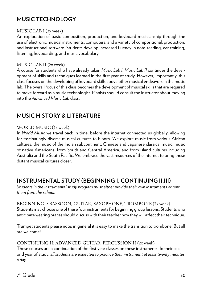## **MUSIC TECHNOLOGY**

## MUSIC LAB I (2x week)

An exploration of basic composition, production, and keyboard musicianship through the use of electronic musical instruments, computers, and a variety of compositional, production, and instructional software. Students develop increased fluency in note-reading, ear-training, listening, keyboarding, and music vocabulary.

## MUSIC LAB II (2x week)

A course for students who have already taken *Music Lab I, Music Lab II* continues the development of skills and techniques learned in the first year of study. However, importantly, this class focuses on the developing of keyboard skills above other musical endeavors in the music lab. The overall focus of this class becomes the development of musical skills that are required to move forward as a music technologist. Pianists should consult the instructor about moving into the *Advanced Music Lab* class.

## **MUSIC HISTORY & LITERATURE**

## WORLD MUSIC (2x week)

In *World Music* we travel back in time, before the internet connected us globally, allowing for fascinatingly diverse musical cultures to bloom. We explore music from various African cultures, the music of the Indian subcontinent, Chinese and Japanese classical music, music of native Americans, from South and Central America, and from island cultures including Australia and the South Pacific. We embrace the vast resources of the internet to bring these distant musical cultures closer.

## **INSTRUMENTAL STUDY (BEGINNING I, CONTINUING II,III)**

*Students in the instrumental study program must either provide their own instruments or rent them from the school.*

BEGINNING I: BASSOON, GUITAR, SAXOPHONE, TROMBONE (2x week) Students may choose one of these four instruments for beginning group lessons. Students who anticipate wearing braces should discuss with their teacher how they will affect their technique.

Trumpet students please note: in general it is easy to make the transition to trombone! But all are welcome!

## CONTINUING II: ADVANCED GUITAR, PERCUSSION II (2x week)

These courses are a continuation of the first year classes on these instruments. In their second year of study, *all students are expected to practice their instrument at least twenty minutes a day.*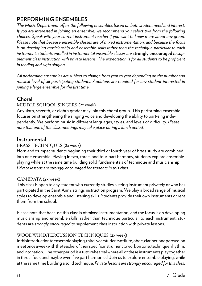## **PERFORMING ENSEMBLES**

*The Music Department offers the following ensembles based on both student need and interest. If you are interested in joining an ensemble, we recommend you select two from the following choices. Speak with your current instrument teacher if you want to know more about any group. Please note that because ensemble classes are of mixed instrumentation, and because the focus is on developing musicianship and ensemble skills rather than the technique particular to each instrument, students enrolled in instrumental ensemble classes are* **strongly encouraged** *to supplement class instruction with private lessons. The expectation is for all students to be proficient in reading and sight singing.*

*All performing ensembles are subject to change from year to year depending on the number and musical level of all participating students. Auditions are required for any student interested in joining a large ensemble for the first time.*

## **Choral**

## MIDDLE SCHOOL SINGERS (2x week)

Any sixth, seventh, or eighth grader may join this choral group. This performing ensemble focuses on strengthening the singing voice and developing the ability to part-sing independently. We perform music in different languages, styles, and levels of difficulty. *Please note that one of the class meetings may take place during a lunch period.*

## **Instrumental**

## BRASS TECHNIQUES (2x week)

Horn and trumpet students beginning their third or fourth year of brass study are combined into one ensemble. Playing in two, three, and four-part harmony, students explore ensemble playing while at the same time building solid fundamentals of technique and musicianship. *Private lessons are strongly encouraged for students in this class.*

## CAMERATA (2x week)

This class is open to any student who currently studies a string instrument privately or who has participated in the Saint Ann's strings instruction program. We play a broad range of musical styles to develop ensemble and listening skills. Students provide their own instruments or rent them from the school.

Please note that because this class is of mixed instrumentation, and the focus is on developing musicianship and ensemble skills, rather than technique particular to each instrument, students are *strongly encouraged* to supplement class instruction with private lessons.

## WOODWIND/PERCUSSION TECHNIQUES (2x week)

In this introduction to ensemble playing, third-year students of flute, oboe, clarinet, and percussion meet once a week with the teacher of their specific instrument to work on tone, technique, rhythm, and intonation. The other period is a tutti rehearsal where all of these instruments play together in three, four, and maybe even five part harmonies! Join us to explore ensemble playing, while at the same time building a solid technique. *Private lessons are strongly encouraged for this class.*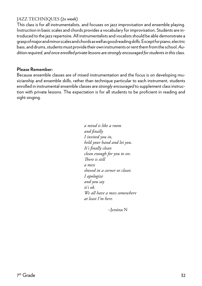## JAZZ TECHNIQUES (2x week)

This class is for all instrumentalists, and focuses on jazz improvisation and ensemble playing. Instruction in basic scales and chords provides a vocabulary for improvisation. Students are introduced to the jazz repertoire. All instrumentalists and vocalists should be able demonstrate a grasp of major and minor scales and chords as well as good reading skills. Except for piano, electric bass, and drums, students must provide their own instruments or rent them from the school. *Audition required, and once enrolled private lessons are strongly encouraged for students in this class.*

## **Please Remember:**

Because ensemble classes are of mixed instrumentation and the focus is on developing musicianship and ensemble skills, rather than technique particular to each instrument, students enrolled in instrumental ensemble classes are *strongly encouraged* to supplement class instruction with private lessons. The expectation is for all students to be proficient in reading and sight singing.

> *a mind is like a room and finally I invited you in, held your hand and let you. It's finally clean clean enough for you to see. There is still a mess shoved in a corner or closet. I apologize and you say it's ok. We all have a mess somewhere at least I'm here.*

> > –Jessina N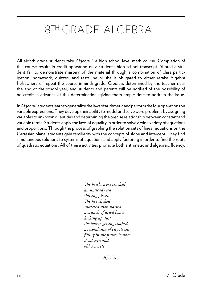## 8TH GRADE: ALGEBRA I

All eighth grade students take *Algebra I,* a high school level math course. Completion of this course results in credit appearing on a student's high school transcript. Should a student fail to demonstrate mastery of the material through a combination of class participation, homework, quizzes, and tests, he or she is obligated to either retake Algebra I elsewhere or repeat the course in ninth grade. Credit is determined by the teacher near the end of the school year, and students and parents will be notified of the possibility of no credit in advance of this determination, giving them ample time to address the issue.

In *Algebra I*, students learn to generalize the laws of arithmetic and perform the four operations on variable expressions. They develop their ability to model and solve word problems by assigning variables to unknown quantities and determining the precise relationship between constant and variable terms. Students apply the laws of equality in order to solve a wide variety of equations and proportions. Through the process of graphing the solution sets of linear equations on the Cartesian plane, students gain familiarity with the concepts of slope and intercept. They find simultaneous solutions to systems of equations and apply factoring in order to find the roots of quadratic equations. All of these activities promote both arithmetic and algebraic fluency.

> *The bricks were cracked an unsteady sea shifting pieces. The key clicked stuttered than started a crunch of dried bones kicking up dust the houses getting clothed a second skin of city streets filling in the fissure between dead skin and old concrete.*

> > –Ayla S.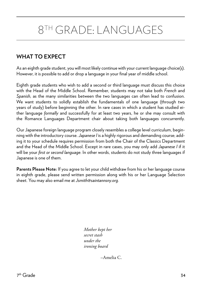## 8TH GRADE: LANGUAGES

## **WHAT TO EXPECT**

As an eighth grade student, you will most likely continue with your current language choice(s). However, it is possible to add or drop a language in your final year of middle school.

Eighth grade students who wish to add a second or third language must discuss this choice with the Head of the Middle School. Remember, students may not take both *French* and *Spanish*, as the many similarities between the two languages can often lead to confusion. We want students to solidly establish the fundamentals of one language (through two years of study) before beginning the other. In rare cases in which a student has studied either language *formally* and successfully for at least two years, he or she may consult with the Romance Languages Department chair about taking both languages concurrently.

Our Japanese foreign language program closely resembles a college level curriculum, beginning with the introductory course. *Japanese I* is a highly rigorous and demanding course; adding it to your schedule requires permission from both the Chair of the Classics Department and the Head of the Middle School. Except in rare cases, you may only add *Japanese I* if it will be your *first or second language*. In other words, students do not study three languages if Japanese is one of them.

**Parents Please Note:** If you agree to let your child withdraw from his or her language course in eighth grade, please send written permission along with his or her Language Selection sheet. You may also email me at *Jsmith@saintannsny.org.*

> *Mother kept her secret stash under the ironing board*

> > –Amelia C.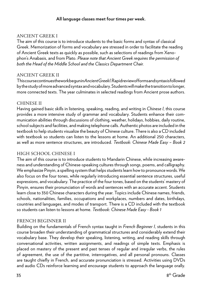#### **All language classes meet four times per week.**

## ANCIENT GREEK I

The aim of this course is to introduce students to the basic forms and syntax of classical Greek. Memorization of forms and vocabulary are stressed in order to facilitate the reading of Ancient Greek texts as quickly as possible, such as selections of readings from Xenophon's Anabasis, and from Plato. *Please note that Ancient Greek requires the permission of both the Head of the Middle School and the Classics Department Chair.* 

#### ANCIENT GREEK II

This course continues the work begun in *Ancient Greek I*. Rapid review of forms and syntax is followed by the study of more advanced syntax and vocabulary. Students will make the transition to longer, more connected texts. The year culminates in selected readings from Ancient prose authors.

#### CHINESE II

Having gained basic skills in listening, speaking, reading, and writing in *Chinese I*, this course provides a more intensive study of grammar and vocabulary. Students enhance their communication abilities through discussions of clothing, weather, holidays, hobbies, daily routine, school subjects and facilities, and making telephone calls. Authentic photos are included in the textbook to help students visualize the beauty of Chinese culture. There is also a CD included with textbook so students can listen to the lessons at home. An additional 250 characters, as well as more sentence structures, are introduced. *Textbook: Chinese Made Easy – Book 2*

## HIGH SCHOOL CHINESE I

The aim of this course is to introduce students to Mandarin Chinese, while increasing awareness and understanding of Chinese-speaking cultures through songs, poems, and calligraphy. We emphasize Pinyin, a spelling system that helps students learn how to pronounce words. We also focus on the four tones, while regularly introducing essential sentence structures, useful expressions, and vocabulary. The practice of the four tones, based on the students' mastery of Pinyin, ensures their pronunciation of words and sentences with an accurate accent. Students learn close to 350 Chinese characters during the year. Topics include Chinese names, friends, schools, nationalities, families, occupations and workplaces, numbers and dates, birthdays, countries and languages, and modes of transport. There is a CD included with the textbook so students can listen to lessons at home. *Textbook: Chinese Made Easy - Book 1*

## FRENCH BEGINNER II

Building on the fundamentals of French syntax taught in *French Beginner I*, students in this course broaden their understanding of grammatical structures and considerably extend their vocabulary base. They develop their speaking, listening, writing, and reading skills through conversational activities, written assignments, and readings of simple texts. Emphasis is placed on mastery of the present and past tenses of regular and irregular verbs, the rules of agreement, the use of the partitive, interrogatives, and all personal pronouns. Classes are taught chiefly in French, and accurate pronunciation is stressed. Activities using DVDs and audio CDs reinforce learning and encourage students to approach the language orally.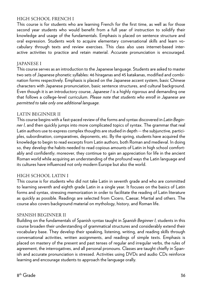## HIGH SCHOOL FRENCH I

This course is for students who are learning French for the first time, as well as for those second year students who would benefit from a full year of instruction to solidify their knowledge and usage of the fundamentals. Emphasis is placed on sentence structure and oral expression. Students work to acquire elementary conversational skills and learn vocabulary through texts and review exercises. This class also uses internet-based interactive activities to practice and retain material. Accurate pronunciation is encouraged.

#### JAPANESE I

This course serves as an introduction to the Japanese language. Students are asked to master two sets of Japanese phonetic syllables: 46 hiraganas and 45 katakanas, modified and combination forms respectively. Emphasis is placed on the Japanese accent system, basic Chinese characters with Japanese pronunciation, basic sentence structures, and cultural background. Even though it is an introductory course, *Japanese I* is a highly rigorous and demanding one that follows a college-level curriculum. *Please note that students who enroll in Japanese are permitted to take only one additional language.*

#### LATIN BEGINNER II

This course begins with a fast-paced review of the forms and syntax discovered in *Latin Beginner I*, and then quickly jumps into more complicated topics of syntax. The grammar that real Latin authors use to express complex thoughts are studied in depth -- the subjunctive, participles, subordination, comparatives, deponents, etc. By the spring, students have acquired the knowledge to begin to read excerpts from Latin authors, both Roman and medieval. In doing so, they develop the habits needed to read copious amounts of Latin in high school comfortably and confidently; moreover, they continue to gain an appreciation for life in the ancient Roman world while acquiring an understanding of the profound ways the Latin language and its cultures have influenced not only modern Europe but also the world.

#### HIGH SCHOOL LATIN I

This course is for students who did not take Latin in seventh grade and who are committed to learning seventh and eighth grade Latin in a single year. It focuses on the basics of Latin forms and syntax, stressing memorization in order to facilitate the reading of Latin literature as quickly as possible. Readings are selected from Cicero, Caesar, Martial and others. The course also covers background material on mythology, history, and Roman life.

#### SPANISH BEGINNER II

Building on the fundamentals of Spanish syntax taught in *Spanish Beginner I*, students in this course broaden their understanding of grammatical structures and considerably extend their vocabulary base. They develop their speaking, listening, writing, and reading skills through conversational activities, written assignments, and readings of simple texts. Emphasis is placed on mastery of the present and past tenses of regular and irregular verbs, the rules of agreement, the interrogatives, and all personal pronouns. Classes are taught chiefly in Spanish and accurate pronunciation is stressed. Activities using DVDs and audio CDs reinforce learning and encourage students to approach the language orally.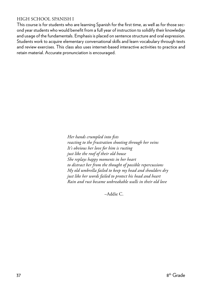#### HIGH SCHOOL SPANISH I

This course is for students who are learning Spanish for the first time, as well as for those second year students who would benefit from a full year of instruction to solidify their knowledge and usage of the fundamentals. Emphasis is placed on sentence structure and oral expression. Students work to acquire elementary conversational skills and learn vocabulary through texts and review exercises. This class also uses internet-based interactive activities to practice and retain material. Accurate pronunciation is encouraged.

> *Her hands crumpled into fists reacting to the frustration shooting through her veins It's obvious her love for him is rusting just like the roof of their old house She replays happy moments in her heart to distract her from the thought of possible repercussions My old umbrella failed to keep my head and shoulders dry just like her words failed to protect his head and heart Rain and rust became unbreakable walls in their old love*

> > –Addie C.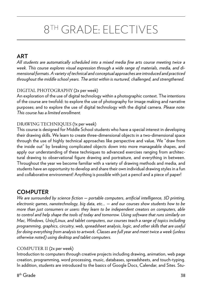## 8TH GRADE: ELECTIVES

## **ART**

*All students are automatically scheduled into a mixed media fine arts course meeting twice a week. This course explores visual expression through a wide range of materials, media, and dimensional formats. A variety of technical and conceptual approaches are introduced and practiced throughout the middle school years. The artist within is nurtured, challenged, and strengthened.*

## DIGITAL PHOTOGRAPHY (2x per week)

An exploration of the use of digital technology within a photographic context. The intentions of the course are twofold: to explore the use of photography for image making and narrative purposes; and to explore the use of digital technology with the digital camera. *Please note: This course has a limited enrollment.*

## DRAWING TECHNIQUES (1x per week)

This course is designed for Middle School students who have a special interest in developing their drawing skills. We learn to create three-dimensional objects in a two-dimensional space through the use of highly technical approaches like perspective and value. We "draw from the inside out" by breaking complicated objects down into more manageable shapes, and apply our understanding of these techniques to advanced exercises ranging from architectural drawing to observational figure drawing and portraiture, and everything in between. Throughout the year we become familiar with a variety of drawing methods and media, and students have an opportunity to develop and share their own individual drawing styles in a fun and collaborative environment! Anything is possible with just a pencil and a piece of paper!

## **COMPUTER**

*We are surrounded by science fiction — portable computers, artificial intelligence, 3D printing, electronic games, nanotechnology, big data, etc... — and our courses show students how to be more than just consumers or users: they learn to be independent creators on computers, able to control and help shape the tools of today and tomorrow. Using software that runs similarly on Mac, Windows, Unix/Linux, and tablet computers, our courses teach a range of topics including programming, graphics, circuitry, web, spreadsheet analysis, logic, and other skills that are useful for doing everything from analysis to artwork. Classes are full year and meet twice a week (unless otherwise noted) using desktop and tablet computers.*

## COMPUTER II (2x per week)

Introduction to computers through creative projects including drawing, animation, web page creation, programming, word processing, music, databases, spreadsheets, and touch-typing. In addition, students are introduced to the basics of Google Docs, Calendar, and Sites. Stu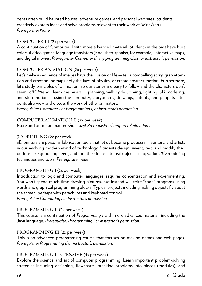dents often build haunted houses, adventure games, and personal web sites. Students creatively express ideas and solve problems relevant to their work at Saint Ann's. *Prerequisite: None.*

## COMPUTER III (2x per week)

A continuation of Computer II with more advanced material. Students in the past have built colorful video games, language translators (English to Spanish, for example), interactive maps, and digital movies. *Prerequisite: Computer II, any programming class, or instructor's permission.*

## COMPUTER ANIMATION (2x per week)

Let's make a sequence of images have the illusion of life — tell a compelling story, grab attention and emotion, perhaps defy the laws of physics, or create abstract motion. Furthermore, let's study principles of animation, so our stories are easy to follow and the characters don't seem "off." We will learn the basics — planning, walk-cycles, timing, lighting, 3D modeling, and stop motion — using the computer, storyboards, drawings, cutouts, and puppets. Students also view and discuss the work of other animators.

*Prerequisite: Computer I or Programming I, or instructor's permission.*

#### COMPUTER ANIMATION II (2x per week)

More and better animation. Go crazy! *Prerequisite: Computer Animation I.*

## 3D PRINTING (2x per week)

3D printers are personal fabrication tools that let us become producers, inventors, and artists in our evolving modern world of technology. Students design, invent, test, and modify their designs, like good engineers, and turn their ideas into real objects using various 3D modeling techniques and tools. *Prerequisite: none.*

## PROGRAMMING I (2x per week)

Introduction to logic and computer languages: requires concentration and experimenting. You won't spend much time drawing pictures, but instead will write "code" programs using words and graphical programming blocks. Typical projects including making objects fly about the screen, perhaps with parachutes and keyboard control.

*Prerequisite: Computing I or instructor's permission.*

## PROGRAMMING II (2x per week)

This course is a continuation of *Programming I* with more advanced material, including the Java language. *Prerequisite: Programming I or instructor's permission.*

## PROGRAMMING III (2x per week)

This is an advanced programming course that focuses on making games and web pages. *Prerequisite: Programming II or instructor's permission.*

## PROGRAMMING I INTENSIVE (4x per week)

Explore the science and art of computer programming. Learn important problem-solving strategies including designing, flowcharts, breaking problems into pieces (modules), and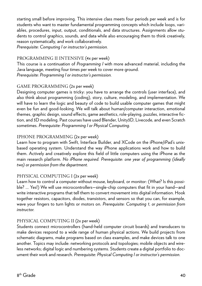starting small before improving. This intensive class meets four periods per week and is for students who want to master fundamental programming concepts which include loops, variables, procedures, input, output, conditionals, and data structures. Assignments allow students to control graphics, sounds, and data while also encouraging them to think creatively, reason systematically, and work collaboratively.

*Prerequisite: Computing I or instructor's permission.*

## PROGRAMMING II INTENSIVE (4x per week)

This course is a continuation of *Programming I* with more advanced material, including the Java language, meeting four times per week to cover more ground. *Prerequisite: Programming I or instructor's permission.*

## GAME PROGRAMMING (2x per week)

Designing computer games is tricky: you have to arrange the controls (user interface), and also think about programming (coding), story, culture, modeling, and implementation. We will have to learn the logic and beauty of code to build usable computer games that might even be fun and good-looking. We will talk about human/computer interaction, emotional themes, graphic design, sound effects, game aesthetics, role-playing, puzzles, interactive fiction, and 3D modeling. Past courses have used Blender, Unity3D, Livecode, and even Scratch sometimes. *Prerequisite: Programming I or Physical Computing.*

## IPHONE PROGRAMMING (2x per week)

Learn how to program with Swift, Interface Builder, and XCode on the iPhone/iPad's unixbased operating system. Understand the way iPhone applications work and how to build them. Actively and creatively explore this field of little computers using the iPhone as the main research platform. *No iPhone required. Prerequisite: one year of programming (ideally two) or permission from the department.*

## PHYSICAL COMPUTING I (2x per week)

Learn how to control a computer without mouse, keyboard, or monitor: (What? Is this possible? … Yes!) We will use microcontrollers—single-chip computers that fit in your hand—and write interactive programs that tell them to convert movement into digital information. Hook together resistors, capacitors, diodes, transistors, and sensors so that you can, for example, wave your fingers to turn lights or motors on. *Prerequisite: Computing 1, or permission from instructor.*

## PHYSICAL COMPUTING II (2x per week)

Students connect microcontrollers (hand-held computer circuit boards) and transducers to make devices respond to a wide range of human physical actions. We build projects from schematic diagrams, make programs based on class examples, and make devices talk to one another. Topics may include: networking protocols and topologies; mobile objects and wireless networks; digital logic and numbering systems. Students create a digital portfolio to document their work and research. *Prerequisite: Physical Computing I or instructor's permission.*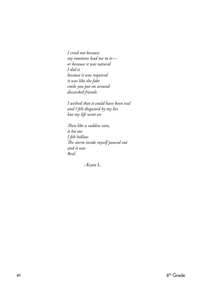*I cried not because my emotions lead me to it or because it was natural I did it because it was required it was like the fake smile you put on around discarded friends*

 *I wished that it could have been real and I felt disgusted by my lies but my life went on*

 *Then like a sudden rain, it hit me I felt hollow The storm inside myself poured out and it was Real.*

–Katie L.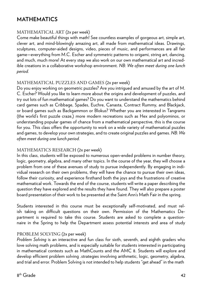## **MATHEMATICS**

## MATHEMATICAL ART (2x per week)

Come make beautiful things with math! See countless examples of gorgeous art, simple art, clever art, and mind-blowingly amazing art, all made from mathematical ideas. Drawings, sculptures, computer-aided designs, video, pieces of music, and performances are all fair game—everything from M.C. Escher and symmetric patterns to origami, string art, dancing, and much, much more! At every step we also work on our own mathematical art and incredible creations in a collaborative workshop environment. *NB: We often meet during one lunch period.*

## MATHEMATICAL PUZZLES AND GAMES (2x per week)

Do you enjoy working on geometric puzzles? Are you intrigued and amused by the art of M. C. Escher? Would you like to learn more about the origins and development of puzzles, and try out lots of fun mathematical games? Do you want to understand the mathematics behind card games such as Cribbage, Spades, Euchre, Canasta, Contract Rummy, and Blackjack, or board games such as Backgammon or Blokus? Whether you are interested in Tangrams (the world's first puzzle craze,) more modern recreations such as Hex and polyominos, or understanding popular games of chance from a mathematical perspective, this is the course for you. This class offers the opportunity to work on a wide variety of mathematical puzzles and games, to develop your own strategies, and to create original puzzles and games. *NB: We often meet during one lunch period.*

## MATHEMATICS RESEARCH (2x per week)

In this class, students will be exposed to numerous open-ended problems in number theory, logic, geometry, algebra, and many other topics. In the course of the year, they will choose a problem from one of these avenues of study to pursue independently. By engaging in individual research on their own problems, they will have the chance to pursue their own ideas, follow their curiosity, and experience firsthand both the joys and the frustrations of creative mathematical work. Towards the end of the course, students will write a paper describing the question they have explored and the results they have found. They will also prepare a poster board presentation of their work to be presented at the Saint Ann's Math Fair in the spring.

Students interested in this course must be exceptionally self-motivated, and must relish taking on difficult questions on their own. Permission of the Mathematics Department is required to take this course. Students are asked to complete a questionnaire in the Spring to help the Department assess potential interests and area of study

## PROBLEM SOLVING (2x per week)

*Problem Solving* is an interactive and fun class for sixth, seventh, and eighth graders who love solving math problems, and is especially suitable for students interested in participating in mathematical contests such as MathCounts and the AMC 8. Students will explore and develop efficient problem solving .strategies involving arithmetic, logic, geometry, algebra, and trial and error. Problem Solving is not intended to help students "get ahead" in the math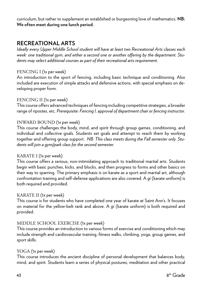curriculum, but rather to supplement an established or burgeoning love of mathematics*.* **NB: We often meet during one lunch period.** 

## **RECREATIONAL ARTS**

*Ideally every Upper Middle School student will have at least two Recreational Arts classes each week: one traditional gym, and either a second one or another offering by the department. Students may select additional courses as part of their recreational arts requirement.* 

#### FENCING I (1x per week)

An introduction to the sport of fencing, including basic technique and conditioning. Also included are execution of simple attacks and defensive actions, with special emphasis on developing proper form.

## FENCING II (1x per week)

This course offers advanced techniques of fencing including competitive strategies, a broader range of ripostes, etc. *Prerequisite: Fencing I, approval of department chair or fencing instructor.*

#### INWARD BOUND (1x per week)

This course challenges the body, mind, and spirit through group games, conditioning, and individual and collective goals. Students set goals and attempt to reach them by working together and offering group support. *NB: This class meets during the Fall semester only. Students will join a gym/park class for the second semester.*

## KARATE I (1x per week)

This course offers a serious, non-intimidating approach to traditional martial arts. Students begin with basic punches, kicks, and blocks, and then progress to forms and other basics on their way to sparring. The primary emphasis is on karate as a sport and martial art, although confrontation training and self-defense applications are also covered. A *gi* (karate uniform) is both required and provided.

## KARATE II (1x per week)

This course is for students who have completed one year of karate at Saint Ann's. It focuses on material for the yellow-belt rank and above. A *gi* (karate uniform) is both required and provided.

## MIDDLE SCHOOL EXERCISE (1x per week)

This course provides an introduction to various forms of exercise and conditioning which may include strength and cardiovascular training, fitness walks, climbing, yoga, group games, and sport skills.

## YOGA (1x per week)

This course introduces the ancient discipline of personal development that balances body, mind, and spirit. Students learn a series of physical postures, meditation and other practical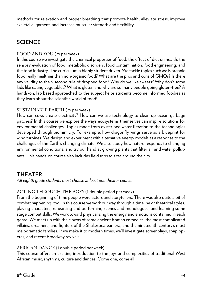methods for relaxation and proper breathing that promote health, alleviate stress, improve skeletal alignment, and increase muscular strength and flexibility.

## **SCIENCE**

## FOOD AND YOU (2x per week)

In this course we investigate the chemical properties of food, the effect of diet on health, the sensory evaluation of food, metabolic disorders, food contamination, food engineering, and the food industry. The curriculum is highly student driven. We tackle topics such as: Is organic food really healthier than non-organic food? What are the pros and cons of GMOs? Is there any validity to the 5 second rule of dropped food? Why do we like sweets? Why don't some kids like eating vegetables? What is gluten and why are so many people going gluten-free? A hands-on, lab based approached to the subject helps students become informed foodies as they learn about the scientific world of food!

## SUSTAINABLE EARTH (2x per week)

How can cows create electricity? How can we use technology to clean up ocean garbage patches? In this course we explore the ways ecosystems themselves can inspire solutions for environmental challenges. Topics range from oyster bed water filtration to the technologies developed through biomimicry. For example, how dragonfly wings serve as a blueprint for wind turbines. We design and experiment with alternative energy models as a response to the challenges of the Earth's changing climate. We also study how nature responds to changing environmental conditions, and try our hand at growing plants that filter air and water pollutants. This hands-on course also includes field trips to sites around the city.

## **THEATER**

*All eighth grade students must choose at least one theater course.*

## ACTING THROUGH THE AGES (1 double period per week)

From the beginning of time people were actors and storytellers. There was also quite a bit of combat happening, too. In this course we work our way through a timeline of theatrical styles, playing characters, rehearsing and performing scenes and monologues, and learning some stage combat skills. We work toward physicalizing the energy and emotions contained in each genre. We meet up with the clowns of some ancient Roman comedies, the most complicated villains, dreamers, and fighters of the Shakespearean era, and the nineteenth century's most melodramatic families. If we make it to modern times, we'll investigate screenplays, soap operas, and recent Broadway revivals.

## AFRICAN DANCE (1 double period per week)

This course offers an exciting introduction to the joys and complexities of traditional West African music, rhythms, culture and dances. Come one, come all!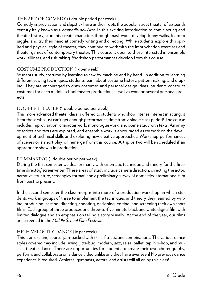## THE ART OF COMEDY (1 double period per week)

Comedy improvisation and slapstick have as their roots the popular street theater of sixteenth century Italy known as *Commedia dell'Arte*. In this exciting introduction to comic acting and theater history, students create characters through mask work, develop funny walks, learn to juggle, and try their hand at comedy writing and directing. While students explore this spirited and physical style of theater, they continue to work with the improvisation exercises and theater games of contemporary theater. This course is open to those interested in ensemble work, silliness, and risk-taking. Workshop performances develop from this course.

## COSTUME PRODUCTION (1x per week)

Students study costume by learning to sew by machine and by hand. In addition to learning different sewing techniques, students learn about costume history, patternmaking, and draping. They are encouraged to draw costumes and personal design ideas. Students construct costumes for each middle school theater production, as well as work on several personal projects.

## DOUBLE THEATER (1 double period per week)

This more advanced theater class is offered to students who show intense interest in acting; it is for those who just can't get enough performance time from a single class period! The course includes improvisation, character work, monologue work, and scene study with texts. An array of scripts and texts are explored, and ensemble work is encouraged as we work on the development of technical skills and exploring new creative approaches. Workshop performances of scenes or a short play will emerge from this course. A trip or two will be scheduled if an appropriate show is in production.

## FILMMAKING (1 double period per week)

During the first semester we deal primarily with cinematic technique and theory for the firsttime director/ screenwriter. These areas of study include camera direction, directing the actor, narrative structure, screenplay format, and a preliminary survey of domestic/international film from past to present.

In the second semester the class morphs into more of a production workshop, in which students work in groups of three to implement the techniques and theory they learned by writing, producing, casting, directing, shooting, designing, editing, and screening their own short films. Each group of three produces one three-to-five minute black and white digital film with limited dialogue and an emphasis on telling a story visually. At the end of the year, our films are screened in the *Middle School Film Festival.*

## HIGH VELOCITY DANCE (1x per week)

This is an exciting course, jam-packed with skills, fitness, and combinations. The various dance styles covered may include: swing, jitterbug, modern, jazz, salsa, ballet, tap, hip-hop, and musical theater dance. There are opportunities for students to create their own choreography, perform, and collaborate on a dance video unlike any they have ever seen! No previous dance experience is required. Athletes, gymnasts, actors, and artists will all enjoy this class!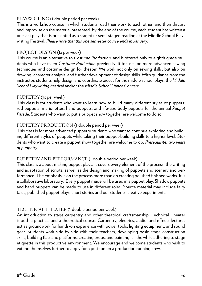## PLAYWRITING (1 double period per week)

This is a workshop course in which students read their work to each other, and then discuss and improvise on the material presented. By the end of the course, each student has written a one-act play that is presented as a staged or semi-staged reading at the Middle School Playwriting Festival. *Please note that this one semester course ends in January.*

## PROJECT DESIGN (1x per week)

This course is an alternative to *Costume Production*, and is offered only to eighth grade students who have taken *Costume Production* previously. It focuses on more advanced sewing techniques and costume design for theater. We work not only on sewing skills, but also on drawing, character analysis, and further development of design skills. With guidance from the instructor, students help design and coordinate pieces for the middle school plays, the *Middle School Playwriting Festival* and/or the *Middle School Dance Concert.*

## PUPPETRY (1x per week)

This class is for students who want to learn how to build many different styles of puppets: rod puppets, marionettes, hand puppets, and life-size body puppets for the annual *Puppet Parade*. Students who want to put a puppet show together are welcome to do so.

## PUPPETRY PRODUCTION (1 double period per week)

This class is for more advanced puppetry students who want to continue exploring and building different styles of puppets while taking their puppet-building skills to a higher level. Students who want to create a puppet show together are welcome to do. *Prerequisite: two years of puppetry.*

## PUPPETRY AND PERFORMANCE (1 double period per week)

This class is a about making puppet plays. It covers every element of the process: the writing and adaptation of scripts, as well as the design and making of puppets and scenery and performance. The emphasis is on the process more than on creating polished finished works. It is a collaborative laboratory. Every puppet made will be used in a puppet play. Shadow puppets and hand puppets can be made to use in different roles. Source material may include fairy tales, published puppet plays, short stories and our students' creative experiments.

## TECHNICAL THEATER (1 double period per week)

An introduction to stage carpentry and other theatrical craftsmanship, Technical Theater is both a practical and a theoretical course. Carpentry, electrics, audio, and effects lectures act as groundwork for hands-on experience with power tools, lighting equipment, and sound gear. Students work side-by-side with their teachers, developing basic stage construction skills, building flats and platforms, creating props, and painting, all the while adhering to stage etiquette in this productive environment. We encourage and welcome students who wish to extend themselves further to apply for a position on a production running crew.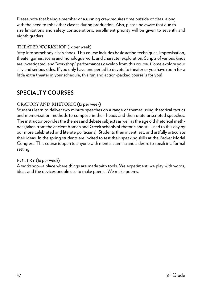Please note that being a member of a running crew requires time outside of class, along with the need to miss other classes during production. Also, please be aware that due to size limitations and safety considerations, enrollment priority will be given to seventh and eighth graders.

## THEATER WORKSHOP (1x per week)

Step into somebody else's shoes. This course includes basic acting techniques, improvisation, theater games, scene and monologue work, and character exploration. Scripts of various kinds are investigated, and "workshop" performances develop from this course. Come explore your silly and serious sides. If you only have one period to devote to theater or you have room for a little extra theater in your schedule, this fun and action-packed course is for you!

## **SPECIALTY COURSES**

## ORATORY AND RHETORIC (1x per week)

Students learn to deliver two minute speeches on a range of themes using rhetorical tactics and memorization methods to compose in their heads and then orate unscripted speeches. The instructor provides the themes and debate subjects as well as the age old rhetorical methods (taken from the ancient Roman and Greek schools of rhetoric and still used to this day by our more celebrated and literate politicians). Students then invent, set, and artfully articulate their ideas. In the spring students are invited to test their speaking skills at the Packer Model Congress. This course is open to anyone with mental stamina and a desire to speak in a formal setting.

## POETRY (1x per week)

A workshop—a place where things are made with tools. We experiment; we play with words, ideas and the devices people use to make poems. We make poems.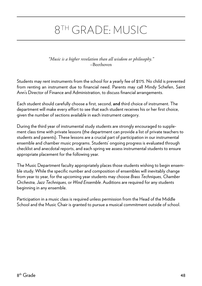## 8TH GRADE: MUSIC

*"Music is a higher revelation than all wisdom or philosophy."*  –Beethoven

Students may rent instruments from the school for a yearly fee of \$175. No child is prevented from renting an instrument due to financial need. Parents may call Mindy Schefen, Saint Ann's Director of Finance and Administration, to discuss financial arrangements.

Each student should carefully choose a first, second, **and** third choice of instrument. The department will make every effort to see that each student receives his or her first choice, given the number of sections available in each instrument category.

During the third year of instrumental study students are strongly encouraged to supplement class time with private lessons (the department can provide a list of private teachers to students and parents). These lessons are a crucial part of participation in our instrumental ensemble and chamber music programs. Students' ongoing progress is evaluated through checklist and anecdotal reports, and each spring we assess instrumental students to ensure appropriate placement for the following year.

The Music Department faculty appropriately places those students wishing to begin ensemble study. While the specific number and composition of ensembles will inevitably change from year to year, for the upcoming year students may choose *Brass Techniques, Chamber Orchestra, Jazz Techniques*, or *Wind Ensemble*. Auditions are required for any students beginning in any ensemble.

Participation in a music class is required unless permission from the Head of the Middle School and the Music Chair is granted to pursue a musical commitment outside of school.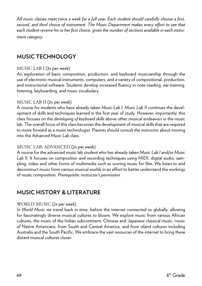*All music classes meet twice a week for a full year. Each student should carefully choose a first, second, and third choice of instrument. The Music Department makes every effort to see that each student receive his or her first choice, given the number of sections available in each instrument category.*

## **MUSIC TECHNOLOGY**

#### MUSIC LAB I (2x per week)

An exploration of basic composition, production, and keyboard musicianship through the use of electronic musical instruments, computers, and a variety of compositional, production, and instructional software. Students develop increased fluency in note-reading, ear-training, listening, keyboarding, and music vocabulary.

#### MUSIC LAB II (2x per week)

A course for students who have already taken *Music Lab I, Music Lab II* continues the development of skills and techniques learned in the first year of study. However, importantly, this class focuses on the *developing of keyboard skills* above other musical endeavors in the music lab. The overall focus of this class becomes the development of musical skills that are required to move forward as a music technologist. Pianists should consult the instructor about moving into the *Advanced Music Lab* class.

#### MUSIC LAB: ADVANCED (2x per week)

A course for the advanced music lab student who has already taken *Music Lab I* and/or *Music Lab II.* It focuses on composition and recording techniques using MIDI, digital audio, sampling, video and other forms of multimedia such as scoring music for film. We listen to and deconstruct music from various musical worlds in an effort to better understand the workings of music composition. *Prerequisite: instructor's permission.*

## **MUSIC HISTORY & LITERATURE**

#### WORLD MUSIC (2x per week)

In *World Music* we travel back in time, before the internet connected us globally, allowing for fascinatingly diverse musical cultures to bloom. We explore music from various African cultures, the music of the Indian subcontinent, Chinese and Japanese classical music, music of Native Americans, from South and Central America, and from island cultures including Australia and the South Pacific. We embrace the vast resources of the internet to bring these distant musical cultures closer.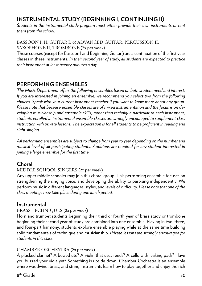## **INSTRUMENTAL STUDY (BEGINNING I, CONTINUING II)**

*Students in the instrumental study program must either provide their own instruments or rent them from the school.*

BASSOON I, II, GUITAR I, & ADVANCED GUITAR, PERCUSSION II, SAXOPHONE II, TROMBONE (2x per week)

These courses (except for Bassoon I and Beginning Guitar ) are a continuation of the first year classes in these instruments. *In their second year of study, all students are expected to practice their instrument at least twenty minutes a day.*

## **PERFORMING ENSEMBLES**

*The Music Department offers the following ensembles based on both student need and interest. If you are interested in joining an ensemble, we recommend you select two from the following choices. Speak with your current instrument teacher if you want to know more about any group. Please note that because ensemble classes are of mixed instrumentation and the focus is on developing musicianship and ensemble skills, rather than technique particular to each instrument, students enrolled in instrumental ensemble classes are strongly encouraged to supplement class instruction with private lessons. The expectation is for all students to be proficient in reading and sight singing.*

*All performing ensembles are subject to change from year to year depending on the number and musical level of all participating students. Auditions are required for any student interested in joining a large ensemble for the first time.*

## **Choral**

## MIDDLE SCHOOL SINGERS (2x per week)

Any upper middle schooler may join this choral group. This performing ensemble focuses on strengthening the singing voice, and developing the ability to part-sing independently. We perform music in different languages, styles, and levels of difficulty. *Please note that one of the class meetings may take place during one lunch period.*

## **Instrumental**

## BRASS TECHNIQUES (2x per week)

Horn and trumpet students beginning their third or fourth year of brass study or trombone beginning their second year of study are combined into one ensemble. Playing in two, three, and four-part harmony, students explore ensemble playing while at the same time building solid fundamentals of technique and musicianship. *Private lessons are strongly encouraged for students in this class.*

## CHAMBER ORCHESTRA (2x per week)

A plucked clarinet? A bowed ute? A violin that uses reeds? A cello with leaking pads? Have you buzzed your viola yet? Something is upside down! Chamber Orchestra is an ensemble where woodwind, brass, and string instruments learn how to play together and enjoy the rich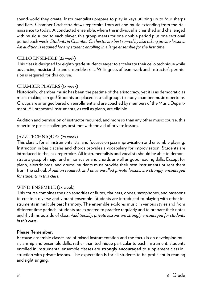sound-world they create. Instrumentalists prepare to play in keys utilizing up to four sharps and flats. Chamber Orchestra draws repertoire from art and music extending from the Renaissance to today. A conducted ensemble, where the individual is cherished and challenged with music suited to each player, this group meets for one double period plus one sectional period each week. *Students in Chamber Orchestra are best served by also taking private lessons. An audition is required for any student enrolling in a large ensemble for the first time.*

## CELLO ENSEMBLE (2x week)

This class is designed for eighth grade students eager to accelerate their cello technique while advancing musicianship and ensemble skills. Willingness of team work and instructor's permission is required for this course.

## CHAMBER PLAYERS (1x week)

Historically, chamber music has been the pastime of the aristocracy, yet it is as democratic as music making can get! Students are placed in small groups to study chamber music repertoire. Groups are arranged based on enrollment and are coached by members of the Music Department. All orchestral instruments, as well as piano, are eligible.

Audition and permission of instructor required, and more so than any other music course, this repertoire poses challenges best met with the aid of private lessons.

## JAZZ TECHNIQUES (2x week)

This class is for all instrumentalists, and focuses on jazz improvisation and ensemble playing. Instruction in basic scales and chords provides a vocabulary for improvisation. Students are introduced to the jazz repertoire. All instrumentalists and vocalists should be able to demonstrate a grasp of major and minor scales and chords as well as good reading skills. Except for piano, electric bass, and drums, students must provide their own instruments or rent them from the school. *Audition required, and once enrolled private lessons are strongly encouraged for students in this class.*

## WIND ENSEMBLE (2x week)

This course combines the rich sonorities of flutes, clarinets, oboes, saxophones, and bassoons to create a diverse and vibrant ensemble. Students are introduced to playing with other instruments in multiple part harmony. The ensemble explores music in various styles and from different time periods. Students are expected to practice regularly and to prepare their notes and rhythms outside of class. *Additionally, private lessons are strongly encouraged for students in this class.*

## **Please Remember:**

Because ensemble classes are of mixed instrumentation and the focus is on developing musicianship and ensemble skills, rather than technique particular to each instrument, students enrolled in instrumental ensemble classes are **strongly encouraged** to supplement class instruction with private lessons. The expectation is for all students to be proficient in reading and sight singing.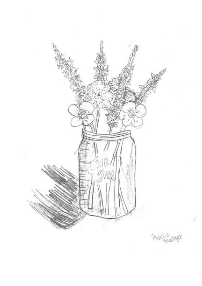

Phoebe<sub>pholget</sub>